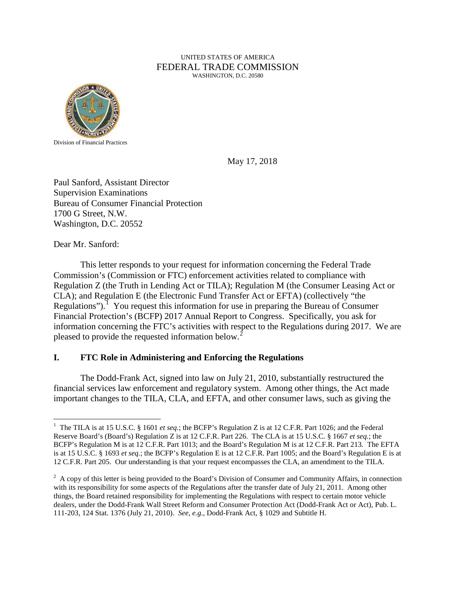#### UNITED STATES OF AMERICA FEDERAL TRADE COMMISSION WASHINGTON, D.C. 20580



Division of Financial Practices

May 17, 2018

Paul Sanford, Assistant Director Supervision Examinations Bureau of Consumer Financial Protection 1700 G Street, N.W. Washington, D.C. 20552

Dear Mr. Sanford:

 This letter responds to your request for information concerning the Federal Trade Commission's (Commission or FTC) enforcement activities related to compliance with Regulation Z (the Truth in Lending Act or TILA); Regulation M (the Consumer Leasing Act or CLA); and Regulation E (the Electronic Fund Transfer Act or EFTA) (collectively "the Regulations").<sup>[1](#page-0-0)</sup> You request this information for use in preparing the Bureau of Consumer Financial Protection's (BCFP) 2017 Annual Report to Congress. Specifically, you ask for information concerning the FTC's activities with respect to the Regulations during 2017. We are pleased to provide the requested information below.<sup>[2](#page-0-1)</sup>

# **I. FTC Role in Administering and Enforcing the Regulations**

 The Dodd-Frank Act, signed into law on July 21, 2010, substantially restructured the financial services law enforcement and regulatory system. Among other things, the Act made important changes to the TILA, CLA, and EFTA, and other consumer laws, such as giving the

<span id="page-0-0"></span> $\overline{a}$ <sup>1</sup> The TILA is at 15 U.S.C. § 1601 *et seq*.; the BCFP's Regulation Z is at 12 C.F.R. Part 1026; and the Federal Reserve Board's (Board's) Regulation Z is at 12 C.F.R. Part 226. The CLA is at 15 U.S.C. § 1667 *et seq.*; the BCFP's Regulation M is at 12 C.F.R. Part 1013; and the Board's Regulation M is at 12 C.F.R. Part 213. The EFTA is at 15 U.S.C. § 1693 *et seq.*; the BCFP's Regulation E is at 12 C.F.R. Part 1005; and the Board's Regulation E is at 12 C.F.R. Part 205. Our understanding is that your request encompasses the CLA, an amendment to the TILA.

<span id="page-0-1"></span> $2^2$  A copy of this letter is being provided to the Board's Division of Consumer and Community Affairs, in connection with its responsibility for some aspects of the Regulations after the transfer date of July 21, 2011. Among other things, the Board retained responsibility for implementing the Regulations with respect to certain motor vehicle dealers, under the Dodd-Frank Wall Street Reform and Consumer Protection Act (Dodd-Frank Act or Act), Pub. L. 111-203, 124 Stat. 1376 (July 21, 2010). *See, e.g.,* Dodd-Frank Act, § 1029 and Subtitle H.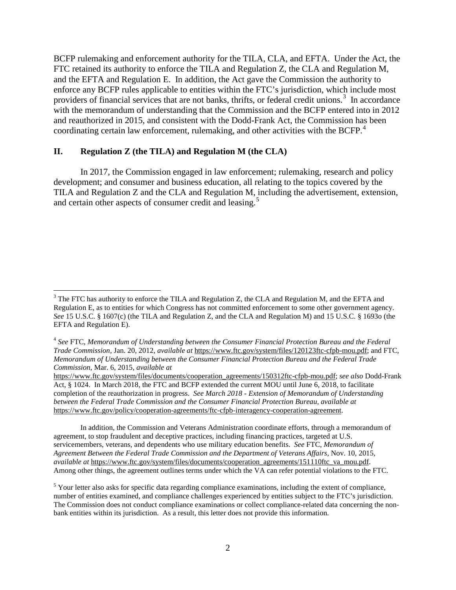BCFP rulemaking and enforcement authority for the TILA, CLA, and EFTA. Under the Act, the FTC retained its authority to enforce the TILA and Regulation Z, the CLA and Regulation M, and the EFTA and Regulation E. In addition, the Act gave the Commission the authority to enforce any BCFP rules applicable to entities within the FTC's jurisdiction, which include most providers of financial services that are not banks, thrifts, or federal credit unions.<sup>[3](#page-1-0)</sup> In accordance with the memorandum of understanding that the Commission and the BCFP entered into in 2012 and reauthorized in 2015, and consistent with the Dodd-Frank Act, the Commission has been coordinating certain law enforcement, rulemaking, and other activities with the BCFP.<sup>[4](#page-1-1)</sup>

#### **II. Regulation Z (the TILA) and Regulation M (the CLA)**

In 2017, the Commission engaged in law enforcement; rulemaking, research and policy development; and consumer and business education, all relating to the topics covered by the TILA and Regulation Z and the CLA and Regulation M, including the advertisement, extension, and certain other aspects of consumer credit and leasing. [5](#page-1-2)

In addition, the Commission and Veterans Administration coordinate efforts, through a memorandum of agreement, to stop fraudulent and deceptive practices, including financing practices, targeted at U.S. servicemembers, veterans, and dependents who use military education benefits. *See* FTC, *Memorandum of Agreement Between the Federal Trade Commission and the Department of Veterans Affairs,* Nov. 10, 2015, *available at* https://www.ftc.gov/system/files/documents/cooperation\_agreements/151110ftc\_va\_mou.pdf. Among other things, the agreement outlines terms under which the VA can refer potential violations to the FTC.

<span id="page-1-0"></span><sup>&</sup>lt;sup>3</sup> The FTC has authority to enforce the TILA and Regulation Z, the CLA and Regulation M, and the EFTA and Regulation E, as to entities for which Congress has not committed enforcement to some other government agency. *See* 15 U.S.C. § 1607(c) (the TILA and Regulation Z, and the CLA and Regulation M) and 15 U.S.C. § 1693o (the EFTA and Regulation E).

<span id="page-1-1"></span><sup>4</sup> *See* FTC, *Memorandum of Understanding between the Consumer Financial Protection Bureau and the Federal Trade Commission,* Jan. 20, 2012, *available at* https://www.ftc.gov/system/files/120123ftc-cfpb-mou.pdf; and FTC, *Memorandum of Understanding between the Consumer Financial Protection Bureau and the Federal Trade Commission,* Mar. 6, 2015, *available at*

https://www.ftc.gov/system/files/documents/cooperation\_agreements/150312ftc-cfpb-mou.pdf; *see also* Dodd-Frank Act, § 1024. In March 2018, the FTC and BCFP extended the current MOU until June 6, 2018, to facilitate completion of the reauthorization in progress. *See March 2018 - Extension of Memorandum of Understanding between the Federal Trade Commission and the Consumer Financial Protection Bureau, available at* https://www.ftc.gov/policy/cooperation-agreements/ftc-cfpb-interagency-cooperation-agreement.

<span id="page-1-2"></span><sup>&</sup>lt;sup>5</sup> Your letter also asks for specific data regarding compliance examinations, including the extent of compliance, number of entities examined, and compliance challenges experienced by entities subject to the FTC's jurisdiction. The Commission does not conduct compliance examinations or collect compliance-related data concerning the nonbank entities within its jurisdiction. As a result, this letter does not provide this information.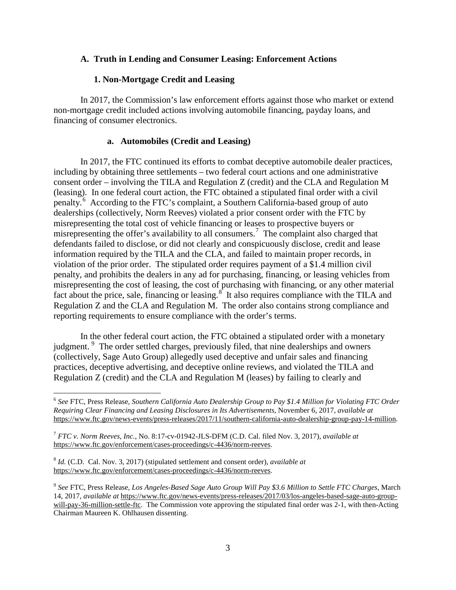### **A. Truth in Lending and Consumer Leasing: Enforcement Actions**

### **1. Non-Mortgage Credit and Leasing**

In 2017, the Commission's law enforcement efforts against those who market or extend non-mortgage credit included actions involving automobile financing, payday loans, and financing of consumer electronics.

### **a. Automobiles (Credit and Leasing)**

In 2017, the FTC continued its efforts to combat deceptive automobile dealer practices, including by obtaining three settlements – two federal court actions and one administrative consent order – involving the TILA and Regulation Z (credit) and the CLA and Regulation M (leasing). In one federal court action, the FTC obtained a stipulated final order with a civil penalty.<sup>[6](#page-2-0)</sup> According to the FTC's complaint, a Southern California-based group of auto dealerships (collectively, Norm Reeves) violated a prior consent order with the FTC by misrepresenting the total cost of vehicle financing or leases to prospective buyers or misrepresenting the offer's availability to all consumers.<sup>[7](#page-2-1)</sup> The complaint also charged that defendants failed to disclose, or did not clearly and conspicuously disclose, credit and lease information required by the TILA and the CLA, and failed to maintain proper records, in violation of the prior order. The stipulated order requires payment of a \$1.4 million civil penalty, and prohibits the dealers in any ad for purchasing, financing, or leasing vehicles from misrepresenting the cost of leasing, the cost of purchasing with financing, or any other material fact about the price, sale, financing or leasing. $8^{\circ}$  $8^{\circ}$  It also requires compliance with the TILA and Regulation Z and the CLA and Regulation M. The order also contains strong compliance and reporting requirements to ensure compliance with the order's terms.

In the other federal court action, the FTC obtained a stipulated order with a monetary judgment. <sup>[9](#page-2-3)</sup> The order settled charges, previously filed, that nine dealerships and owners (collectively, Sage Auto Group) allegedly used deceptive and unfair sales and financing practices, deceptive advertising, and deceptive online reviews, and violated the TILA and Regulation Z (credit) and the CLA and Regulation M (leases) by failing to clearly and

<span id="page-2-0"></span> <sup>6</sup> *See* FTC, Press Release*, Southern California Auto Dealership Group to Pay \$1.4 Million for Violating FTC Order Requiring Clear Financing and Leasing Disclosures in Its Advertisements*, November 6, 2017, *available at* https://www.ftc.gov/news-events/press-releases/2017/11/southern-california-auto-dealership-group-pay-14-million.

<span id="page-2-1"></span><sup>7</sup> *FTC v. Norm Reeves, Inc.,* No. 8:17-cv-01942-JLS-DFM (C.D. Cal. filed Nov. 3, 2017), *available at*  https://www.ftc.gov/enforcement/cases-proceedings/c-4436/norm-reeves.

<span id="page-2-2"></span><sup>8</sup> *Id.* (C.D. Cal. Nov. 3, 2017) (stipulated settlement and consent order), *available at*  https://www.ftc.gov/enforcement/cases-proceedings/c-4436/norm-reeves.

<span id="page-2-3"></span><sup>9</sup> *See* FTC, Press Release, *Los Angeles-Based Sage Auto Group Will Pay \$3.6 Million to Settle FTC Charges*, March 14, 2017, *available at* https://www.ftc.gov/news-events/press-releases/2017/03/los-angeles-based-sage-auto-groupwill-pay-36-million-settle-ftc. The Commission vote approving the stipulated final order was 2-1, with then-Acting Chairman Maureen K. Ohlhausen dissenting.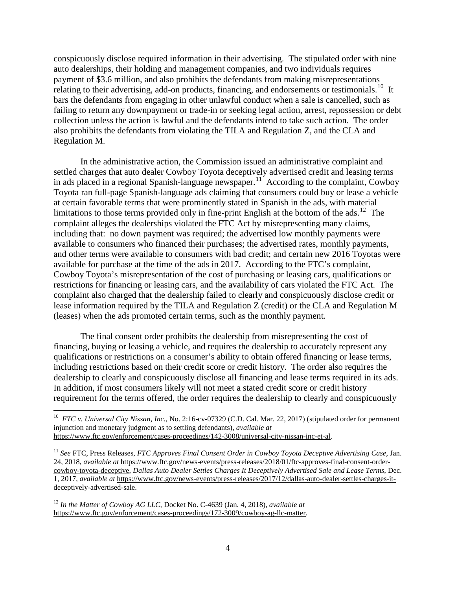conspicuously disclose required information in their advertising. The stipulated order with nine auto dealerships, their holding and management companies, and two individuals requires payment of \$3.6 million, and also prohibits the defendants from making misrepresentations relating to their advertising, add-on products, financing, and endorsements or testimonials.<sup>[10](#page-3-0)</sup> It bars the defendants from engaging in other unlawful conduct when a sale is cancelled, such as failing to return any downpayment or trade-in or seeking legal action, arrest, repossession or debt collection unless the action is lawful and the defendants intend to take such action. The order also prohibits the defendants from violating the TILA and Regulation Z, and the CLA and Regulation M.

In the administrative action, the Commission issued an administrative complaint and settled charges that auto dealer Cowboy Toyota deceptively advertised credit and leasing terms in ads placed in a regional Spanish-language newspaper.<sup>[11](#page-3-1)</sup> According to the complaint, Cowboy Toyota ran full-page Spanish-language ads claiming that consumers could buy or lease a vehicle at certain favorable terms that were prominently stated in Spanish in the ads, with material limitations to those terms provided only in fine-print English at the bottom of the ads.<sup>[12](#page-3-2)</sup> The complaint alleges the dealerships violated the FTC Act by misrepresenting many claims, including that: no down payment was required; the advertised low monthly payments were available to consumers who financed their purchases; the advertised rates, monthly payments, and other terms were available to consumers with bad credit; and certain new 2016 Toyotas were available for purchase at the time of the ads in 2017. According to the FTC's complaint, Cowboy Toyota's misrepresentation of the cost of purchasing or leasing cars, qualifications or restrictions for financing or leasing cars, and the availability of cars violated the FTC Act. The complaint also charged that the dealership failed to clearly and conspicuously disclose credit or lease information required by the TILA and Regulation Z (credit) or the CLA and Regulation M (leases) when the ads promoted certain terms, such as the monthly payment.

The final consent order prohibits the dealership from misrepresenting the cost of financing, buying or leasing a vehicle, and requires the dealership to accurately represent any qualifications or restrictions on a consumer's ability to obtain offered financing or lease terms, including restrictions based on their credit score or credit history. The order also requires the dealership to clearly and conspicuously disclose all financing and lease terms required in its ads. In addition, if most consumers likely will not meet a stated credit score or credit history requirement for the terms offered, the order requires the dealership to clearly and conspicuously

<span id="page-3-0"></span> <sup>10</sup> *FTC v. Universal City Nissan, Inc.*, No. 2:16-cv-07329 (C.D. Cal. Mar. 22, 2017) (stipulated order for permanent injunction and monetary judgment as to settling defendants), *available at* https://www.ftc.gov/enforcement/cases-proceedings/142-3008/universal-city-nissan-inc-et-al.

<span id="page-3-1"></span><sup>11</sup> *See* FTC, Press Releases, *FTC Approves Final Consent Order in Cowboy Toyota Deceptive Advertising Case*, Jan. 24, 2018, *available at* https://www.ftc.gov/news-events/press-releases/2018/01/ftc-approves-final-consent-ordercowboy-toyota-deceptive, *Dallas Auto Dealer Settles Charges It Deceptively Advertised Sale and Lease Terms*, Dec. 1, 2017, *available at* https://www.ftc.gov/news-events/press-releases/2017/12/dallas-auto-dealer-settles-charges-itdeceptively-advertised-sale.

<span id="page-3-2"></span><sup>12</sup> *In the Matter of Cowboy AG LLC,* Docket No. C-4639 (Jan. 4, 2018), *available at*  https://www.ftc.gov/enforcement/cases-proceedings/172-3009/cowboy-ag-llc-matter.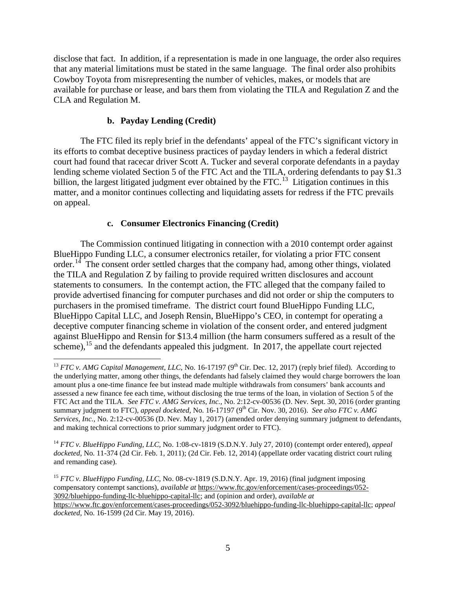disclose that fact. In addition, if a representation is made in one language, the order also requires that any material limitations must be stated in the same language. The final order also prohibits Cowboy Toyota from misrepresenting the number of vehicles, makes, or models that are available for purchase or lease, and bars them from violating the TILA and Regulation Z and the CLA and Regulation M.

### **b. Payday Lending (Credit)**

The FTC filed its reply brief in the defendants' appeal of the FTC's significant victory in its efforts to combat deceptive business practices of payday lenders in which a federal district court had found that racecar driver Scott A. Tucker and several corporate defendants in a payday lending scheme violated Section 5 of the FTC Act and the TILA, ordering defendants to pay \$1.3 billion, the largest litigated judgment ever obtained by the FTC.<sup>[13](#page-4-0)</sup> Litigation continues in this matter, and a monitor continues collecting and liquidating assets for redress if the FTC prevails on appeal.

### **c. Consumer Electronics Financing (Credit)**

The Commission continued litigating in connection with a 2010 contempt order against BlueHippo Funding LLC, a consumer electronics retailer, for violating a prior FTC consent order.<sup>14</sup> The consent order settled charges that the company had, among other things, violated the TILA and Regulation Z by failing to provide required written disclosures and account statements to consumers. In the contempt action, the FTC alleged that the company failed to provide advertised financing for computer purchases and did not order or ship the computers to purchasers in the promised timeframe. The district court found BlueHippo Funding LLC, BlueHippo Capital LLC, and Joseph Rensin, BlueHippo's CEO, in contempt for operating a deceptive computer financing scheme in violation of the consent order, and entered judgment against BlueHippo and Rensin for \$13.4 million (the harm consumers suffered as a result of the scheme),  $15$  and the defendants appealed this judgment. In 2017, the appellate court rejected

<span id="page-4-1"></span><sup>14</sup> *FTC v. BlueHippo Funding, LLC,* No. 1:08-cv-1819 (S.D.N.Y. July 27, 2010) (contempt order entered), *appeal docketed,* No. 11-374 (2d Cir. Feb. 1, 2011); (2d Cir. Feb. 12, 2014) (appellate order vacating district court ruling and remanding case).

<span id="page-4-0"></span><sup>&</sup>lt;sup>13</sup> *FTC v. AMG Capital Management, LLC*, No. 16-17197 ( $9<sup>th</sup>$  Cir. Dec. 12, 2017) (reply brief filed). According to the underlying matter, among other things, the defendants had falsely claimed they would charge borrowers the loan amount plus a one-time finance fee but instead made multiple withdrawals from consumers' bank accounts and assessed a new finance fee each time, without disclosing the true terms of the loan, in violation of Section 5 of the FTC Act and the TILA. *See FTC v. AMG Services, Inc.*, No. 2:12-cv-00536 (D. Nev. Sept. 30, 2016 (order granting summary judgment to FTC), *appeal docketed*, No. 16-17197 (9<sup>th</sup> Cir. Nov. 30, 2016). *See also FTC v. AMG Services, Inc.,* No. 2:12-cv-00536 (D. Nev. May 1, 2017) (amended order denying summary judgment to defendants, and making technical corrections to prior summary judgment order to FTC).

<span id="page-4-2"></span><sup>&</sup>lt;sup>15</sup> *FTC v. BlueHippo Funding, LLC, No.* 08-cv-1819 (S.D.N.Y. Apr. 19, 2016) (final judgment imposing compensatory contempt sanctions), *available at* https://www.ftc.gov/enforcement/cases-proceedings/052- 3092/bluehippo-funding-llc-bluehippo-capital-llc; and (opinion and order), *available at* 

https://www.ftc.gov/enforcement/cases-proceedings/052-3092/bluehippo-funding-llc-bluehippo-capital-llc; *appeal docketed,* No. 16-1599 (2d Cir. May 19, 2016).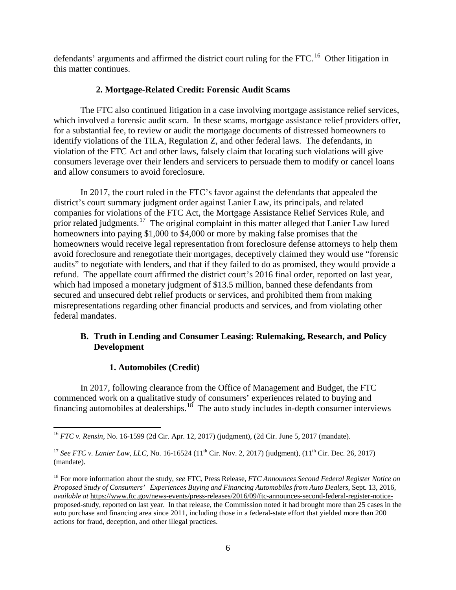defendants' arguments and affirmed the district court ruling for the FTC.<sup>[16](#page-5-0)</sup> Other litigation in this matter continues.

# **2. Mortgage-Related Credit: Forensic Audit Scams**

The FTC also continued litigation in a case involving mortgage assistance relief services, which involved a forensic audit scam. In these scams, mortgage assistance relief providers offer, for a substantial fee, to review or audit the mortgage documents of distressed homeowners to identify violations of the TILA, Regulation Z, and other federal laws. The defendants, in violation of the FTC Act and other laws, falsely claim that locating such violations will give consumers leverage over their lenders and servicers to persuade them to modify or cancel loans and allow consumers to avoid foreclosure.

In 2017, the court ruled in the FTC's favor against the defendants that appealed the district's court summary judgment order against Lanier Law, its principals, and related companies for violations of the FTC Act, the Mortgage Assistance Relief Services Rule, and prior related judgments.<sup>17</sup> The original complaint in this matter alleged that Lanier Law lured homeowners into paying \$1,000 to \$4,000 or more by making false promises that the homeowners would receive legal representation from foreclosure defense attorneys to help them avoid foreclosure and renegotiate their mortgages, deceptively claimed they would use "forensic audits" to negotiate with lenders, and that if they failed to do as promised, they would provide a refund. The appellate court affirmed the district court's 2016 final order, reported on last year, which had imposed a monetary judgment of \$13.5 million, banned these defendants from secured and unsecured debt relief products or services, and prohibited them from making misrepresentations regarding other financial products and services, and from violating other federal mandates.

# **B. Truth in Lending and Consumer Leasing: Rulemaking, Research, and Policy Development**

# **1. Automobiles (Credit)**

In 2017, following clearance from the Office of Management and Budget, the FTC commenced work on a qualitative study of consumers' experiences related to buying and financing automobiles at dealerships.<sup>[18](#page-5-2)</sup> The auto study includes in-depth consumer interviews

<span id="page-5-0"></span> <sup>16</sup> *FTC v. Rensin,* No. 16-1599 (2d Cir. Apr. 12, 2017) (judgment), (2d Cir. June 5, 2017 (mandate).

<span id="page-5-1"></span><sup>&</sup>lt;sup>17</sup> *See FTC v. Lanier Law, LLC, No.* 16-16524 (11<sup>th</sup> Cir. Nov. 2, 2017) (judgment), (11<sup>th</sup> Cir. Dec. 26, 2017) (mandate).

<span id="page-5-2"></span><sup>18</sup> For more information about the study, *see* FTC, Press Release, *FTC Announces Second Federal Register Notice on Proposed Study of Consumers' Experiences Buying and Financing Automobiles from Auto Dealers*, Sept. 13, 2016, *available at* https:[//www.ftc.gov/news-events/press-releases/2016/09/ftc-announces-second-federal-register-notice](http://www.ftc.gov/news-events/press-releases/2016/09/ftc-announces-second-federal-register-notice-proposed-)[proposed-s](http://www.ftc.gov/news-events/press-releases/2016/09/ftc-announces-second-federal-register-notice-proposed-)tudy, reported on last year. In that release, the Commission noted it had brought more than 25 cases in the auto purchase and financing area since 2011, including those in a federal-state effort that yielded more than 200 actions for fraud, deception, and other illegal practices.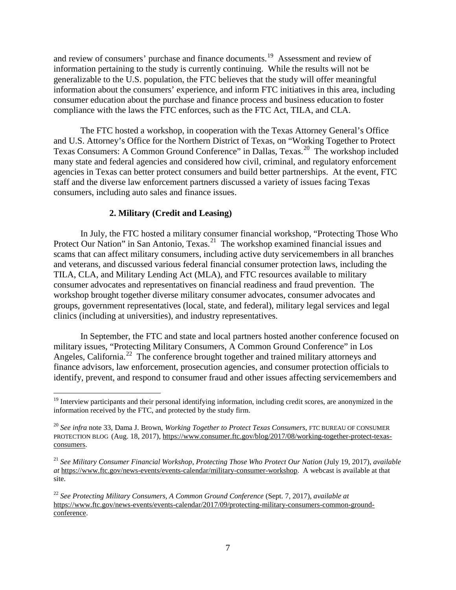and review of consumers' purchase and finance documents.[19](#page-6-0) Assessment and review of information pertaining to the study is currently continuing. While the results will not be generalizable to the U.S. population, the FTC believes that the study will offer meaningful information about the consumers' experience, and inform FTC initiatives in this area, including consumer education about the purchase and finance process and business education to foster compliance with the laws the FTC enforces, such as the FTC Act, TILA, and CLA.

The FTC hosted a workshop, in cooperation with the Texas Attorney General's Office and U.S. Attorney's Office for the Northern District of Texas, on "Working Together to Protect Texas Consumers: A Common Ground Conference" in Dallas, Texas. [20](#page-6-1) The workshop included many state and federal agencies and considered how civil, criminal, and regulatory enforcement agencies in Texas can better protect consumers and build better partnerships. At the event, FTC staff and the diverse law enforcement partners discussed a variety of issues facing Texas consumers, including auto sales and finance issues.

# **2. Military (Credit and Leasing)**

In July, the FTC hosted a military consumer financial workshop, "Protecting Those Who Protect Our Nation" in San Antonio, Texas.<sup>21</sup> The workshop examined financial issues and scams that can affect military consumers, including active duty servicemembers in all branches and veterans, and discussed various federal financial consumer protection laws, including the TILA, CLA, and Military Lending Act (MLA), and FTC resources available to military consumer advocates and representatives on financial readiness and fraud prevention. The workshop brought together diverse military consumer advocates, consumer advocates and groups, government representatives (local, state, and federal), military legal services and legal clinics (including at universities), and industry representatives.

In September, the FTC and state and local partners hosted another conference focused on military issues, "Protecting Military Consumers, A Common Ground Conference" in Los Angeles, California.<sup>22</sup> The conference brought together and trained military attorneys and finance advisors, law enforcement, prosecution agencies, and consumer protection officials to identify, prevent, and respond to consumer fraud and other issues affecting servicemembers and

<span id="page-6-0"></span><sup>&</sup>lt;sup>19</sup> Interview participants and their personal identifying information, including credit scores, are anonymized in the information received by the FTC, and protected by the study firm.

<span id="page-6-1"></span><sup>20</sup> *See infra* note 33, Dama J. Brown, *Working Together to Protect Texas Consumers*, FTC BUREAU OF CONSUMER PROTECTION BLOG (Aug. 18, 2017), https://www.consumer.ftc.gov/blog/2017/08/working-together-protect-texasconsumers.

<span id="page-6-2"></span><sup>21</sup> *See Military Consumer Financial Workshop*, *Protecting Those Who Protect Our Nation* (July 19, 2017), *available at* https://www.ftc.gov/news-events/events-calendar/military-consumer-workshop. A webcast is available at that site.

<span id="page-6-3"></span><sup>22</sup> *See Protecting Military Consumers, A Common Ground Conference* (Sept. 7, 2017), *available at*  https://www.ftc.gov/news-events/events-calendar/2017/09/protecting-military-consumers-common-groundconference.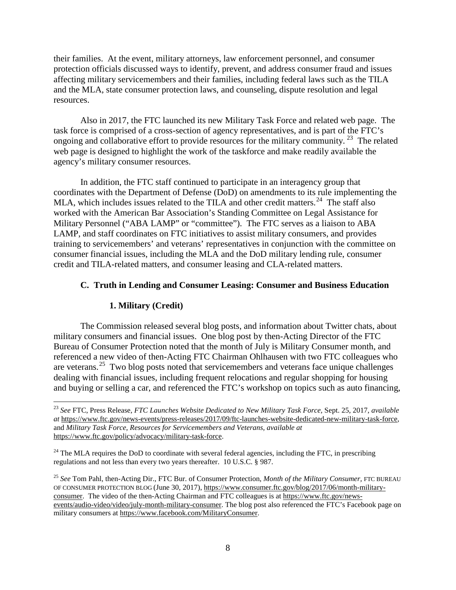their families. At the event, military attorneys, law enforcement personnel, and consumer protection officials discussed ways to identify, prevent, and address consumer fraud and issues affecting military servicemembers and their families, including federal laws such as the TILA and the MLA, state consumer protection laws, and counseling, dispute resolution and legal resources.

Also in 2017, the FTC launched its new Military Task Force and related web page. The task force is comprised of a cross-section of agency representatives, and is part of the FTC's ongoing and collaborative effort to provide resources for the military community.<sup>[23](#page-7-0)</sup> The related web page is designed to highlight the work of the taskforce and make readily available the agency's military consumer resources.

In addition, the FTC staff continued to participate in an interagency group that coordinates with the Department of Defense (DoD) on amendments to its rule implementing the MLA, which includes issues related to the TILA and other credit matters.<sup>24</sup> The staff also worked with the American Bar Association's Standing Committee on Legal Assistance for Military Personnel ("ABA LAMP" or "committee"). The FTC serves as a liaison to ABA LAMP, and staff coordinates on FTC initiatives to assist military consumers, and provides training to servicemembers' and veterans' representatives in conjunction with the committee on consumer financial issues, including the MLA and the DoD military lending rule, consumer credit and TILA-related matters, and consumer leasing and CLA-related matters.

# **C. Truth in Lending and Consumer Leasing: Consumer and Business Education**

# **1. Military (Credit)**

The Commission released several blog posts, and information about Twitter chats, about military consumers and financial issues. One blog post by then-Acting Director of the FTC Bureau of Consumer Protection noted that the month of July is Military Consumer month, and referenced a new video of then-Acting FTC Chairman Ohlhausen with two FTC colleagues who are veterans.<sup>[25](#page-7-2)</sup> Two blog posts noted that servicemembers and veterans face unique challenges dealing with financial issues, including frequent relocations and regular shopping for housing and buying or selling a car, and referenced the FTC's workshop on topics such as auto financing,

<span id="page-7-0"></span> <sup>23</sup> *See* FTC, Press Release, *FTC Launches Website Dedicated to New Military Task Force,* Sept. 25, 2017, *available at* https://www.ftc.gov/news-events/press-releases/2017/09/ftc-launches-website-dedicated-new-military-task-force, and *Military Task Force, Resources for Servicemembers and Veterans, available at*  https://www.ftc.gov/policy/advocacy/military-task-force.

<span id="page-7-1"></span><sup>&</sup>lt;sup>24</sup> The MLA requires the DoD to coordinate with several federal agencies, including the FTC, in prescribing regulations and not less than every two years thereafter. 10 U.S.C. § 987.

<span id="page-7-2"></span><sup>25</sup> *See* Tom Pahl, then-Acting Dir., FTC Bur. of Consumer Protection, *Month of the Military Consumer,* FTC BUREAU OF CONSUMER PROTECTION BLOG (June 30, 2017), https://www.consumer.ftc.gov/blog/2017/06/month-militaryconsumer. The video of the then-Acting Chairman and FTC colleagues is at https://www.ftc.gov/newsevents/audio-video/video/july-month-military-consumer. The blog post also referenced the FTC's Facebook page on military consumers at https://www.facebook.com/MilitaryConsumer.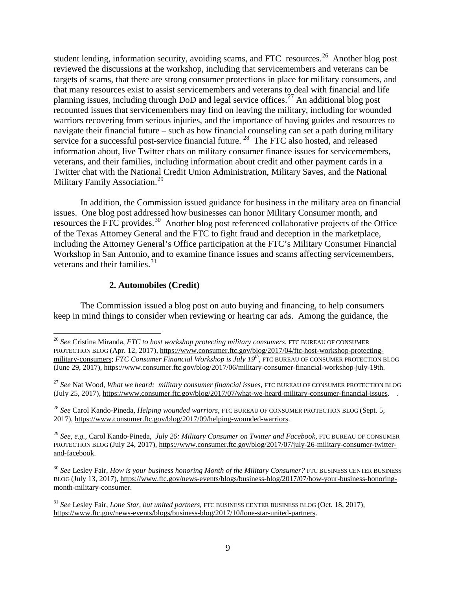student lending, information security, avoiding scams, and FTC resources.<sup>26</sup> Another blog post reviewed the discussions at the workshop, including that servicemembers and veterans can be targets of scams, that there are strong consumer protections in place for military consumers, and that many resources exist to assist servicemembers and veterans to deal with financial and life planning issues, including through DoD and legal service offices.<sup>[27](#page-8-1)</sup> An additional blog post recounted issues that servicemembers may find on leaving the military, including for wounded warriors recovering from serious injuries, and the importance of having guides and resources to navigate their financial future – such as how financial counseling can set a path during military service for a successful post-service financial future.<sup>[28](#page-8-2)</sup> The FTC also hosted, and released information about, live Twitter chats on military consumer finance issues for servicemembers, veterans, and their families, including information about credit and other payment cards in a Twitter chat with the National Credit Union Administration, Military Saves, and the National Military Family Association.<sup>29</sup>

In addition, the Commission issued guidance for business in the military area on financial issues. One blog post addressed how businesses can honor Military Consumer month, and resources the FTC provides.<sup>[30](#page-8-4)</sup> Another blog post referenced collaborative projects of the Office of the Texas Attorney General and the FTC to fight fraud and deception in the marketplace, including the Attorney General's Office participation at the FTC's Military Consumer Financial Workshop in San Antonio, and to examine finance issues and scams affecting servicemembers, veterans and their families.<sup>[31](#page-8-5)</sup>

# **2. Automobiles (Credit)**

The Commission issued a blog post on auto buying and financing, to help consumers keep in mind things to consider when reviewing or hearing car ads. Among the guidance, the

<span id="page-8-3"></span><sup>29</sup> *See, e.g.,* Carol Kando-Pineda, *July 26: Military Consumer on Twitter and Facebook,* FTC BUREAU OF CONSUMER PROTECTION BLOG (July 24, 2017), https://www.consumer.ftc.gov/blog/2017/07/july-26-military-consumer-twitterand-facebook.

<span id="page-8-4"></span><sup>30</sup> See Lesley Fair, *How is your business honoring Month of the Military Consumer?* FTC BUSINESS CENTER BUSINESS BLOG (July 13, 2017), https://www.ftc.gov/news-events/blogs/business-blog/2017/07/how-your-business-honoringmonth-military-consumer.

<span id="page-8-5"></span><sup>31</sup> *See* Lesley Fair, *Lone Star, but united partners,* FTC BUSINESS CENTER BUSINESS BLOG (Oct. 18, 2017), https://www.ftc.gov/news-events/blogs/business-blog/2017/10/lone-star-united-partners.

<span id="page-8-0"></span> <sup>26</sup> *See* Cristina Miranda, *FTC to host workshop protecting military consumers,* FTC BUREAU OF CONSUMER PROTECTION BLOG (Apr. 12, 2017), https://www.consumer.ftc.gov/blog/2017/04/ftc-host-workshop-protectingmilitary-consumers; *FTC Consumer Financial Workshop is July 19th,* FTC BUREAU OF CONSUMER PROTECTION BLOG (June 29, 2017), https://www.consumer.ftc.gov/blog/2017/06/military-consumer-financial-workshop-july-19th.

<span id="page-8-1"></span><sup>&</sup>lt;sup>27</sup> See Nat Wood, *What we heard: military consumer financial issues*, FTC BUREAU OF CONSUMER PROTECTION BLOG (July 25, 2017), https://www.consumer.ftc.gov/blog/2017/07/what-we-heard-military-consumer-financial-issues. .

<span id="page-8-2"></span><sup>28</sup> *See* Carol Kando-Pineda, *Helping wounded warriors,* FTC BUREAU OF CONSUMER PROTECTION BLOG (Sept. 5, 2017), https://www.consumer.ftc.gov/blog/2017/09/helping-wounded-warriors.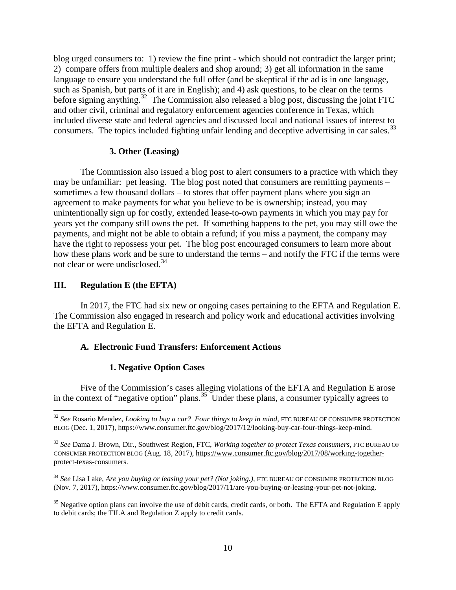blog urged consumers to: 1) review the fine print - which should not contradict the larger print; 2) compare offers from multiple dealers and shop around; 3) get all information in the same language to ensure you understand the full offer (and be skeptical if the ad is in one language, such as Spanish, but parts of it are in English); and 4) ask questions, to be clear on the terms before signing anything.<sup>32</sup> The Commission also released a blog post, discussing the joint FTC and other civil, criminal and regulatory enforcement agencies conference in Texas, which included diverse state and federal agencies and discussed local and national issues of interest to consumers. The topics included fighting unfair lending and deceptive advertising in car sales.<sup>[33](#page-9-1)</sup>

### **3. Other (Leasing)**

The Commission also issued a blog post to alert consumers to a practice with which they may be unfamiliar: pet leasing. The blog post noted that consumers are remitting payments – sometimes a few thousand dollars – to stores that offer payment plans where you sign an agreement to make payments for what you believe to be is ownership; instead, you may unintentionally sign up for costly, extended lease-to-own payments in which you may pay for years yet the company still owns the pet. If something happens to the pet, you may still owe the payments, and might not be able to obtain a refund; if you miss a payment, the company may have the right to repossess your pet. The blog post encouraged consumers to learn more about how these plans work and be sure to understand the terms – and notify the FTC if the terms were not clear or were undisclosed.<sup>[34](#page-9-2)</sup>

# **III. Regulation E (the EFTA)**

In 2017, the FTC had six new or ongoing cases pertaining to the EFTA and Regulation E. The Commission also engaged in research and policy work and educational activities involving the EFTA and Regulation E.

# **A. Electronic Fund Transfers: Enforcement Actions**

#### **1. Negative Option Cases**

Five of the Commission's cases alleging violations of the EFTA and Regulation E arose in the context of "negative option" plans.<sup>[35](#page-9-3)</sup> Under these plans, a consumer typically agrees to

<span id="page-9-0"></span><sup>&</sup>lt;sup>32</sup> See Rosario Mendez, *Looking to buy a car? Four things to keep in mind*, FTC BUREAU OF CONSUMER PROTECTION BLOG (Dec. 1, 2017), https://www.consumer.ftc.gov/blog/2017/12/looking-buy-car-four-things-keep-mind.

<span id="page-9-1"></span><sup>33</sup> *See* Dama J. Brown, Dir., Southwest Region, FTC, *Working together to protect Texas consumers*, FTC BUREAU OF CONSUMER PROTECTION BLOG (Aug. 18, 2017), https://www.consumer.ftc.gov/blog/2017/08/working-togetherprotect-texas-consumers.

<span id="page-9-2"></span><sup>34</sup> *See* Lisa Lake, *Are you buying or leasing your pet? (Not joking.),* FTC BUREAU OF CONSUMER PROTECTION BLOG (Nov. 7, 2017), https://www.consumer.ftc.gov/blog/2017/11/are-you-buying-or-leasing-your-pet-not-joking.

<span id="page-9-3"></span><sup>&</sup>lt;sup>35</sup> Negative option plans can involve the use of debit cards, credit cards, or both. The EFTA and Regulation E apply to debit cards; the TILA and Regulation Z apply to credit cards.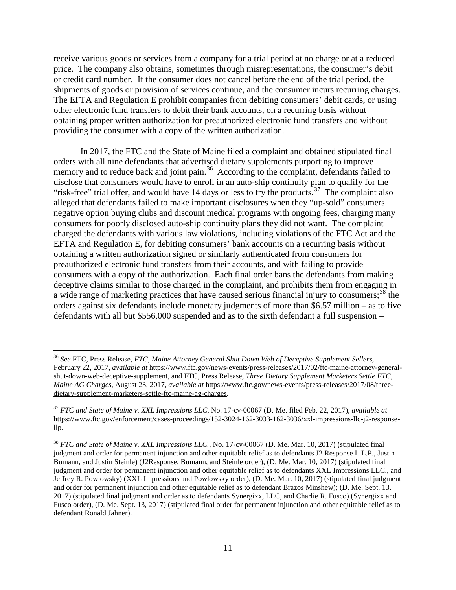receive various goods or services from a company for a trial period at no charge or at a reduced price. The company also obtains, sometimes through misrepresentations, the consumer's debit or credit card number. If the consumer does not cancel before the end of the trial period, the shipments of goods or provision of services continue, and the consumer incurs recurring charges. The EFTA and Regulation E prohibit companies from debiting consumers' debit cards, or using other electronic fund transfers to debit their bank accounts, on a recurring basis without obtaining proper written authorization for preauthorized electronic fund transfers and without providing the consumer with a copy of the written authorization.

In 2017, the FTC and the State of Maine filed a complaint and obtained stipulated final orders with all nine defendants that advertised dietary supplements purporting to improve memory and to reduce back and joint pain.<sup>36</sup> According to the complaint, defendants failed to disclose that consumers would have to enroll in an auto-ship continuity plan to qualify for the "risk-free" trial offer, and would have 14 days or less to try the products. $37$  The complaint also alleged that defendants failed to make important disclosures when they "up-sold" consumers negative option buying clubs and discount medical programs with ongoing fees, charging many consumers for poorly disclosed auto-ship continuity plans they did not want. The complaint charged the defendants with various law violations, including violations of the FTC Act and the EFTA and Regulation E, for debiting consumers' bank accounts on a recurring basis without obtaining a written authorization signed or similarly authenticated from consumers for preauthorized electronic fund transfers from their accounts, and with failing to provide consumers with a copy of the authorization. Each final order bans the defendants from making deceptive claims similar to those charged in the complaint, and prohibits them from engaging in a wide range of marketing practices that have caused serious financial injury to consumers;<sup>[38](#page-10-2)</sup> the orders against six defendants include monetary judgments of more than \$6.57 million – as to five defendants with all but \$556,000 suspended and as to the sixth defendant a full suspension –

<span id="page-10-0"></span> <sup>36</sup> *See* FTC, Press Release, *FTC, Maine Attorney General Shut Down Web of Deceptive Supplement Sellers*, February 22, 2017, *available at* https://www.ftc.gov/news-events/press-releases/2017/02/ftc-maine-attorney-generalshut-down-web-deceptive-supplement, and FTC, Press Release, *Three Dietary Supplement Marketers Settle FTC, Maine AG Charges*, August 23, 2017, *available at* https://www.ftc.gov/news-events/press-releases/2017/08/threedietary-supplement-marketers-settle-ftc-maine-ag-charges.

<span id="page-10-1"></span><sup>37</sup> *FTC and State of Maine v. XXL Impressions LLC*, No. 17-cv-00067 (D. Me. filed Feb. 22, 2017), *available at*  https://www.ftc.gov/enforcement/cases-proceedings/152-3024-162-3033-162-3036/xxl-impressions-llc-j2-responsellp.

<span id="page-10-2"></span><sup>38</sup> *FTC and State of Maine v. XXL Impressions LLC.*, No. 17-cv-00067 (D. Me. Mar. 10, 2017) (stipulated final judgment and order for permanent injunction and other equitable relief as to defendants J2 Response L.L.P., Justin Bumann, and Justin Steinle) (J2Response, Bumann, and Steinle order), (D. Me. Mar. 10, 2017) (stipulated final judgment and order for permanent injunction and other equitable relief as to defendants XXL Impressions LLC., and Jeffrey R. Powlowsky) (XXL Impressions and Powlowsky order), (D. Me. Mar. 10, 2017) (stipulated final judgment and order for permanent injunction and other equitable relief as to defendant Brazos Minshew); (D. Me. Sept. 13, 2017) (stipulated final judgment and order as to defendants Synergixx, LLC, and Charlie R. Fusco) (Synergixx and Fusco order), (D. Me. Sept. 13, 2017) (stipulated final order for permanent injunction and other equitable relief as to defendant Ronald Jahner).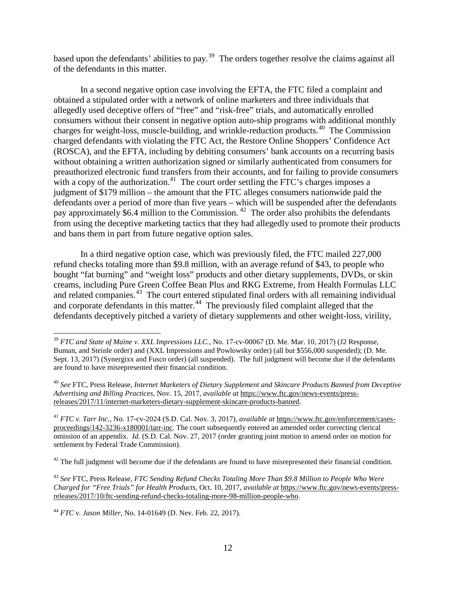based upon the defendants' abilities to pay.<sup>[39](#page-11-0)</sup> The orders together resolve the claims against all of the defendants in this matter.

In a second negative option case involving the EFTA, the FTC filed a complaint and obtained a stipulated order with a network of online marketers and three individuals that allegedly used deceptive offers of "free" and "risk-free" trials, and automatically enrolled consumers without their consent in negative option auto-ship programs with additional monthly charges for weight-loss, muscle-building, and wrinkle-reduction products. [40](#page-11-1) The Commission charged defendants with violating the FTC Act, the Restore Online Shoppers' Confidence Act (ROSCA), and the EFTA, including by debiting consumers' bank accounts on a recurring basis without obtaining a written authorization signed or similarly authenticated from consumers for preauthorized electronic fund transfers from their accounts, and for failing to provide consumers with a copy of the authorization.<sup>41</sup> The court order settling the FTC's charges imposes a judgment of \$179 million – the amount that the FTC alleges consumers nationwide paid the defendants over a period of more than five years – which will be suspended after the defendants pay approximately \$6.4 million to the Commission.  $42$  The order also prohibits the defendants from using the deceptive marketing tactics that they had allegedly used to promote their products and bans them in part from future negative option sales.

In a third negative option case, which was previously filed, the FTC mailed 227,000 refund checks totaling more than \$9.8 million, with an average refund of \$43, to people who bought "fat burning" and "weight loss" products and other dietary supplements, DVDs, or skin creams, including Pure Green Coffee Bean Plus and RKG Extreme, from Health Formulas LLC and related companies.<sup>43</sup> The court entered stipulated final orders with all remaining individual and corporate defendants in this matter.<sup>44</sup> The previously filed complaint alleged that the defendants deceptively pitched a variety of dietary supplements and other weight-loss, virility,

<span id="page-11-0"></span> <sup>39</sup> *FTC and State of Maine v. XXL Impressions LLC.,* No. 17-cv-00067 (D. Me. Mar. 10, 2017) (J2 Response, Buman, and Steinle order) and (XXL Impressions and Powlowsky order) (all but \$556,000 suspended); (D. Me. Sept. 13, 2017) (Synergixx and Fusco order) (all suspended). The full judgment will become due if the defendants are found to have misrepresented their financial condition.

<span id="page-11-1"></span><sup>40</sup> *See* FTC, Press Release, *Internet Marketers of Dietary Supplement and Skincare Products Banned from Deceptive Advertising and Billing Practices*, Nov. 15, 2017, *available at* https://www.ftc.gov/news-events/pressreleases/2017/11/internet-marketers-dietary-supplement-skincare-products-banned.

<span id="page-11-2"></span><sup>41</sup> *FTC v. Tarr Inc.*, No. 17-cv-2024 (S.D. Cal. Nov. 3, 2017), *available at* https://www.ftc.gov/enforcement/casesproceedings/142-3236-x180001/tarr-inc. The court subsequently entered an amended order correcting clerical omission of an appendix. *Id.* (S.D. Cal. Nov. 27, 2017 (order granting joint motion to amend order on motion for settlement by Federal Trade Commission).

<span id="page-11-3"></span> $42$  The full judgment will become due if the defendants are found to have misrepresented their financial condition.

<span id="page-11-4"></span><sup>43</sup> *See* FTC, Press Release, *FTC Sending Refund Checks Totaling More Than \$9.8 Million to People Who Were Charged for "Free Trials" for Health Products*, Oct. 10, 2017, *available at* https://www.ftc.gov/news-events/pressreleases/2017/10/ftc-sending-refund-checks-totaling-more-98-million-people-who.

<span id="page-11-5"></span><sup>44</sup> *FTC v. Jason Miller,* No. 14-01649 (D. Nev. Feb. 22, 2017).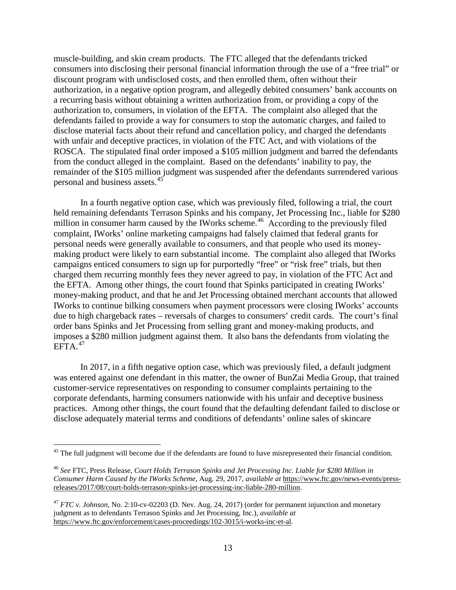muscle-building, and skin cream products. The FTC alleged that the defendants tricked consumers into disclosing their personal financial information through the use of a "free trial" or discount program with undisclosed costs, and then enrolled them, often without their authorization, in a negative option program, and allegedly debited consumers' bank accounts on a recurring basis without obtaining a written authorization from, or providing a copy of the authorization to, consumers, in violation of the EFTA. The complaint also alleged that the defendants failed to provide a way for consumers to stop the automatic charges, and failed to disclose material facts about their refund and cancellation policy, and charged the defendants with unfair and deceptive practices, in violation of the FTC Act, and with violations of the ROSCA. The stipulated final order imposed a \$105 million judgment and barred the defendants from the conduct alleged in the complaint. Based on the defendants' inability to pay, the remainder of the \$105 million judgment was suspended after the defendants surrendered various personal and business assets.[45](#page-12-0)

In a fourth negative option case, which was previously filed, following a trial, the court held remaining defendants Terrason Spinks and his company, Jet Processing Inc., liable for \$280 million in consumer harm caused by the IWorks scheme.<sup>[46](#page-12-1)</sup> According to the previously filed complaint, IWorks' online marketing campaigns had falsely claimed that federal grants for personal needs were generally available to consumers, and that people who used its moneymaking product were likely to earn substantial income. The complaint also alleged that IWorks campaigns enticed consumers to sign up for purportedly "free" or "risk free" trials, but then charged them recurring monthly fees they never agreed to pay, in violation of the FTC Act and the EFTA. Among other things, the court found that Spinks participated in creating IWorks' money-making product, and that he and Jet Processing obtained merchant accounts that allowed IWorks to continue bilking consumers when payment processors were closing IWorks' accounts due to high chargeback rates – reversals of charges to consumers' credit cards. The court's final order bans Spinks and Jet Processing from selling grant and money-making products, and imposes a \$280 million judgment against them. It also bans the defendants from violating the EFTA. [47](#page-12-2) 

In 2017, in a fifth negative option case, which was previously filed, a default judgment was entered against one defendant in this matter, the owner of BunZai Media Group, that trained customer-service representatives on responding to consumer complaints pertaining to the corporate defendants, harming consumers nationwide with his unfair and deceptive business practices. Among other things, the court found that the defaulting defendant failed to disclose or disclose adequately material terms and conditions of defendants' online sales of skincare

<span id="page-12-0"></span> $45$  The full judgment will become due if the defendants are found to have misrepresented their financial condition.

<span id="page-12-1"></span><sup>46</sup> *See* FTC, Press Release*, Court Holds Terrason Spinks and Jet Processing Inc. Liable for \$280 Million in Consumer Harm Caused by the IWorks Scheme*, Aug. 29, 2017, *available at* https://www.ftc.gov/news-events/pressreleases/2017/08/court-holds-terrason-spinks-jet-processing-inc-liable-280-million.

<span id="page-12-2"></span><sup>&</sup>lt;sup>47</sup> *FTC v. Johnson*, No. 2:10-cv-02203 (D. Nev. Aug. 24, 2017) (order for permanent injunction and monetary judgment as to defendants Terrason Spinks and Jet Processing, Inc.), *available at*  https://www.ftc.gov/enforcement/cases-proceedings/102-3015/i-works-inc-et-al.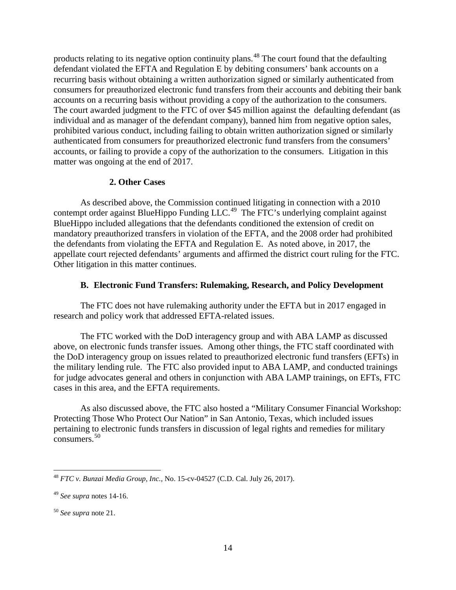products relating to its negative option continuity plans.<sup>[48](#page-13-0)</sup> The court found that the defaulting defendant violated the EFTA and Regulation E by debiting consumers' bank accounts on a recurring basis without obtaining a written authorization signed or similarly authenticated from consumers for preauthorized electronic fund transfers from their accounts and debiting their bank accounts on a recurring basis without providing a copy of the authorization to the consumers. The court awarded judgment to the FTC of over \$45 million against the defaulting defendant (as individual and as manager of the defendant company), banned him from negative option sales, prohibited various conduct, including failing to obtain written authorization signed or similarly authenticated from consumers for preauthorized electronic fund transfers from the consumers' accounts, or failing to provide a copy of the authorization to the consumers. Litigation in this matter was ongoing at the end of 2017.

# **2. Other Cases**

As described above, the Commission continued litigating in connection with a 2010 contempt order against BlueHippo Funding LLC.<sup>[49](#page-13-1)</sup> The FTC's underlying complaint against BlueHippo included allegations that the defendants conditioned the extension of credit on mandatory preauthorized transfers in violation of the EFTA, and the 2008 order had prohibited the defendants from violating the EFTA and Regulation E. As noted above, in 2017, the appellate court rejected defendants' arguments and affirmed the district court ruling for the FTC. Other litigation in this matter continues.

# **B. Electronic Fund Transfers: Rulemaking, Research, and Policy Development**

The FTC does not have rulemaking authority under the EFTA but in 2017 engaged in research and policy work that addressed EFTA-related issues.

The FTC worked with the DoD interagency group and with ABA LAMP as discussed above, on electronic funds transfer issues. Among other things, the FTC staff coordinated with the DoD interagency group on issues related to preauthorized electronic fund transfers (EFTs) in the military lending rule. The FTC also provided input to ABA LAMP, and conducted trainings for judge advocates general and others in conjunction with ABA LAMP trainings, on EFTs, FTC cases in this area, and the EFTA requirements.

As also discussed above, the FTC also hosted a "Military Consumer Financial Workshop: Protecting Those Who Protect Our Nation" in San Antonio, Texas, which included issues pertaining to electronic funds transfers in discussion of legal rights and remedies for military consumers.[50](#page-13-2)

<span id="page-13-0"></span> <sup>48</sup> *FTC v. Bunzai Media Group, Inc.,* No. 15-cv-04527 (C.D. Cal. July 26, 2017).

<span id="page-13-1"></span><sup>49</sup> *See supra* notes 14-16.

<span id="page-13-2"></span><sup>50</sup> *See supra* note 21.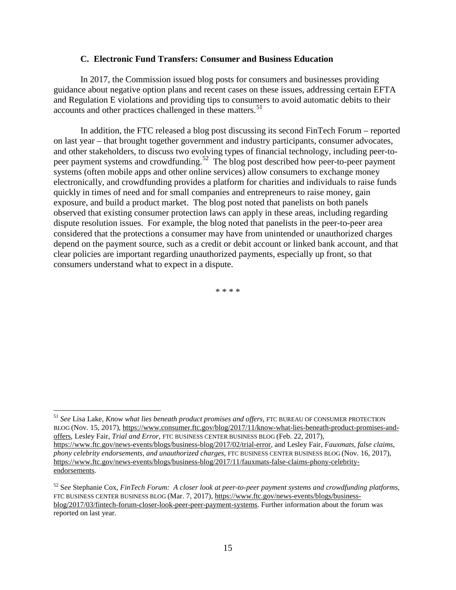#### **C. Electronic Fund Transfers: Consumer and Business Education**

In 2017, the Commission issued blog posts for consumers and businesses providing guidance about negative option plans and recent cases on these issues, addressing certain EFTA and Regulation E violations and providing tips to consumers to avoid automatic debits to their accounts and other practices challenged in these matters.<sup>[51](#page-14-0)</sup>

In addition, the FTC released a blog post discussing its second FinTech Forum – reported on last year – that brought together government and industry participants, consumer advocates, and other stakeholders, to discuss two evolving types of financial technology, including peer-to-peer payment systems and crowdfunding.<sup>[52](#page-14-1)</sup> The blog post described how peer-to-peer payment systems (often mobile apps and other online services) allow consumers to exchange money electronically, and crowdfunding provides a platform for charities and individuals to raise funds quickly in times of need and for small companies and entrepreneurs to raise money, gain exposure, and build a product market. The blog post noted that panelists on both panels observed that existing consumer protection laws can apply in these areas, including regarding dispute resolution issues. For example, the blog noted that panelists in the peer-to-peer area considered that the protections a consumer may have from unintended or unauthorized charges depend on the payment source, such as a credit or debit account or linked bank account, and that clear policies are important regarding unauthorized payments, especially up front, so that consumers understand what to expect in a dispute.

\* \* \* \*

<span id="page-14-0"></span> <sup>51</sup> *See* Lisa Lake, *Know what lies beneath product promises and offers,* FTC BUREAU OF CONSUMER PROTECTION BLOG (Nov. 15, 2017), https://www.consumer.ftc.gov/blog/2017/11/know-what-lies-beneath-product-promises-andoffers, Lesley Fair, *Trial and Error,* FTC BUSINESS CENTER BUSINESS BLOG (Feb. 22, 2017), https://www.ftc.gov/news-events/blogs/business-blog/2017/02/trial-error, and Lesley Fair, *Fauxmats, false claims, phony celebrity endorsements, and unauthorized charges,* FTC BUSINESS CENTER BUSINESS BLOG (Nov. 16, 2017), https://www.ftc.gov/news-events/blogs/business-blog/2017/11/fauxmats-false-claims-phony-celebrityendorsements.

<span id="page-14-1"></span><sup>52</sup> S*ee* Stephanie Cox, *FinTech Forum: A closer look at peer-to-peer payment systems and crowdfunding platforms,*  FTC BUSINESS CENTER BUSINESS BLOG (Mar. 7, 2017), https://www.ftc.gov/news-events/blogs/businessblog/2017/03/fintech-forum-closer-look-peer-peer-payment-systems. Further information about the forum was reported on last year.